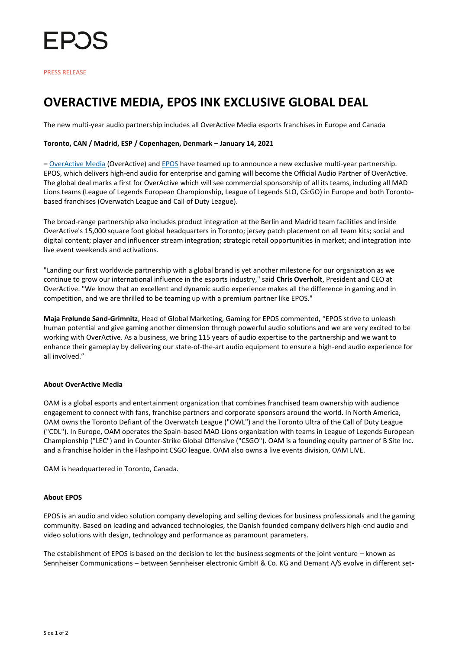

# **OVERACTIVE MEDIA, EPOS INK EXCLUSIVE GLOBAL DEAL**

The new multi-year audio partnership includes all OverActive Media esports franchises in Europe and Canada

## **Toronto, CAN / Madrid, ESP / Copenhagen, Denmark – January 14, 2021**

**–** [OverActive Media](https://www.overactivemedia.com/) (OverActive) an[d EPOS](https://www.eposaudio.com/en/ca/gaming) have teamed up to announce a new exclusive multi-year partnership. EPOS, which delivers high-end audio for enterprise and gaming will become the Official Audio Partner of OverActive. The global deal marks a first for OverActive which will see commercial sponsorship of all its teams, including all MAD Lions teams (League of Legends European Championship, League of Legends SLO, CS:GO) in Europe and both Torontobased franchises (Overwatch League and Call of Duty League).

The broad-range partnership also includes product integration at the Berlin and Madrid team facilities and inside OverActive's 15,000 square foot global headquarters in Toronto; jersey patch placement on all team kits; social and digital content; player and influencer stream integration; strategic retail opportunities in market; and integration into live event weekends and activations.

"Landing our first worldwide partnership with a global brand is yet another milestone for our organization as we continue to grow our international influence in the esports industry," said **Chris Overholt**, President and CEO at OverActive. "We know that an excellent and dynamic audio experience makes all the difference in gaming and in competition, and we are thrilled to be teaming up with a premium partner like EPOS."

**Maja Frølunde Sand-Grimnitz**, Head of Global Marketing, Gaming for EPOS commented, "EPOS strive to unleash human potential and give gaming another dimension through powerful audio solutions and we are very excited to be working with OverActive. As a business, we bring 115 years of audio expertise to the partnership and we want to enhance their gameplay by delivering our state-of-the-art audio equipment to ensure a high-end audio experience for all involved."

#### **About OverActive Media**

OAM is a global esports and entertainment organization that combines franchised team ownership with audience engagement to connect with fans, franchise partners and corporate sponsors around the world. In North America, OAM owns the Toronto Defiant of the Overwatch League ("OWL") and the Toronto Ultra of the Call of Duty League ("CDL"). In Europe, OAM operates the Spain-based MAD Lions organization with teams in League of Legends European Championship ("LEC") and in Counter-Strike Global Offensive ("CSGO"). OAM is a founding equity partner of B Site Inc. and a franchise holder in the Flashpoint CSGO league. OAM also owns a live events division, OAM LIVE.

OAM is headquartered in Toronto, Canada.

#### **About EPOS**

EPOS is an audio and video solution company developing and selling devices for business professionals and the gaming community. Based on leading and advanced technologies, the Danish founded company delivers high-end audio and video solutions with design, technology and performance as paramount parameters.

The establishment of EPOS is based on the decision to let the business segments of the joint venture – known as Sennheiser Communications – between Sennheiser electronic GmbH & Co. KG and Demant A/S evolve in different set-